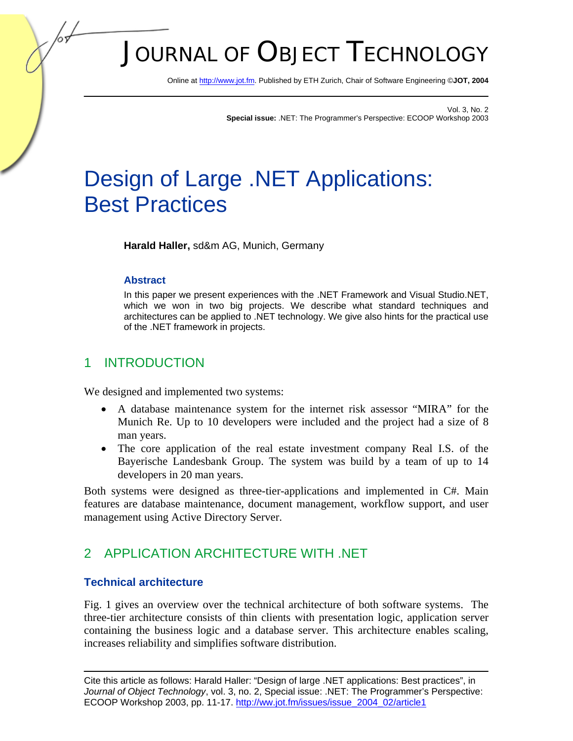# JOURNAL OF OBJECT TECHNOLOGY

Online a[t http://www.jot.fm. P](http://www.jot.fm)ublished by ETH Zurich, Chair of Software Engineering ©**JOT, 2004** 

Vol. 3, No. 2 **Special issue:** .NET: The Programmer's Perspective: ECOOP Workshop 2003

## Design of Large .NET Applications: Best Practices

**Harald Haller,** sd&m AG, Munich, Germany

## **Abstract**

In this paper we present experiences with the .NET Framework and Visual Studio.NET, which we won in two big projects. We describe what standard techniques and architectures can be applied to .NET technology. We give also hints for the practical use of the .NET framework in projects.

## 1 INTRODUCTION

We designed and implemented two systems:

- A database maintenance system for the internet risk assessor "MIRA" for the Munich Re. Up to 10 developers were included and the project had a size of 8 man years.
- The core application of the real estate investment company Real I.S. of the Bayerische Landesbank Group. The system was build by a team of up to 14 developers in 20 man years.

Both systems were designed as three-tier-applications and implemented in C#. Main features are database maintenance, document management, workflow support, and user management using Active Directory Server.

## 2 APPLICATION ARCHITECTURE WITH .NET

## **Technical architecture**

Fig. 1 gives an overview over the technical architecture of both software systems. The three-tier architecture consists of thin clients with presentation logic, application server containing the business logic and a database server. This architecture enables scaling, increases reliability and simplifies software distribution.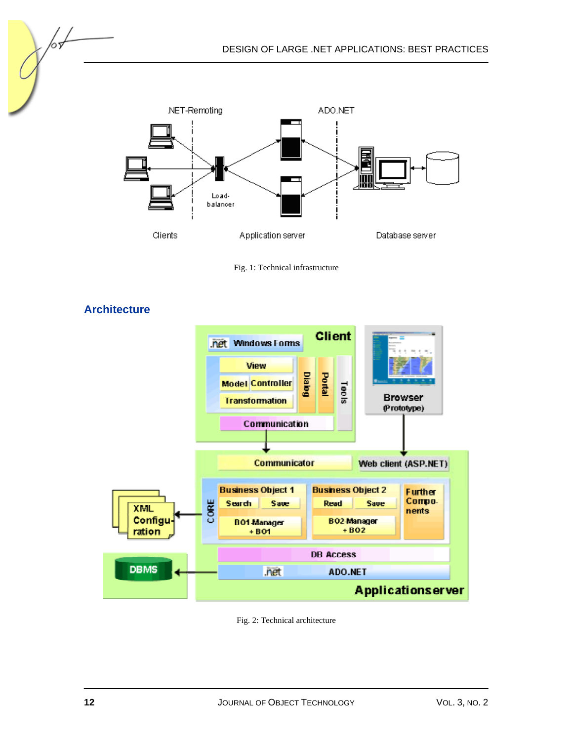DESIGN OF LARGE .NET APPLICATIONS: BEST PRACTICES



Fig. 1: Technical infrastructure



**Architecture** 

65

Fig. 2: Technical architecture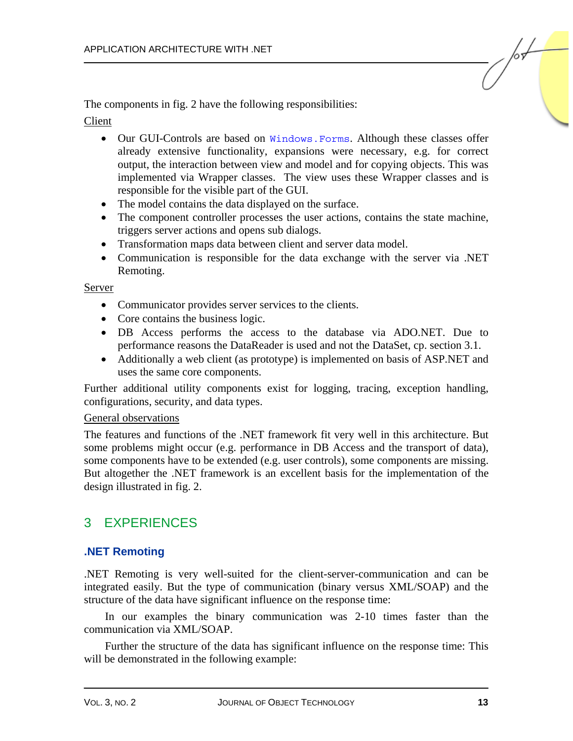The components in fig. 2 have the following responsibilities:

#### Client

- Our GUI-Controls are based on Windows. Forms. Although these classes offer already extensive functionality, expansions were necessary, e.g. for correct output, the interaction between view and model and for copying objects. This was implemented via Wrapper classes. The view uses these Wrapper classes and is responsible for the visible part of the GUI.
- The model contains the data displayed on the surface.
- The component controller processes the user actions, contains the state machine, triggers server actions and opens sub dialogs.
- Transformation maps data between client and server data model.
- Communication is responsible for the data exchange with the server via .NET Remoting.

#### Server

- Communicator provides server services to the clients.
- Core contains the business logic.
- DB Access performs the access to the database via ADO.NET. Due to performance reasons the DataReader is used and not the DataSet, cp. section 3.1.
- Additionally a web client (as prototype) is implemented on basis of ASP.NET and uses the same core components.

Further additional utility components exist for logging, tracing, exception handling, configurations, security, and data types.

#### General observations

The features and functions of the .NET framework fit very well in this architecture. But some problems might occur (e.g. performance in DB Access and the transport of data), some components have to be extended (e.g. user controls), some components are missing. But altogether the .NET framework is an excellent basis for the implementation of the design illustrated in fig. 2.

## 3 EXPERIENCES

## **.NET Remoting**

.NET Remoting is very well-suited for the client-server-communication and can be integrated easily. But the type of communication (binary versus XML/SOAP) and the structure of the data have significant influence on the response time:

In our examples the binary communication was 2-10 times faster than the communication via XML/SOAP.

Further the structure of the data has significant influence on the response time: This will be demonstrated in the following example: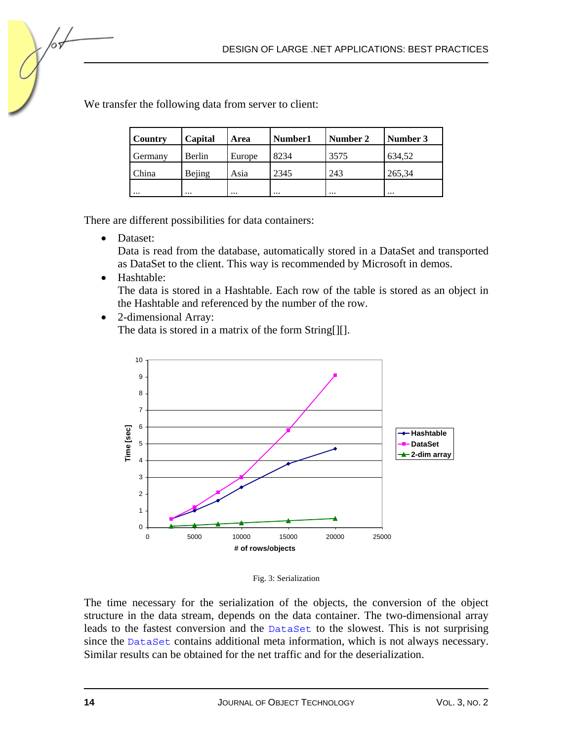| Country  | Capital  | Area     | Number1  | Number 2  | Number 3 |
|----------|----------|----------|----------|-----------|----------|
| Germany  | Berlin   | Europe   | 8234     | 3575      | 634,52   |
| China    | Bejing   | Asia     | 2345     | 243       | 265,34   |
| $\cdots$ | $\cdots$ | $\cdots$ | $\cdots$ | $\ddotsc$ | $\cdots$ |

We transfer the following data from server to client:

There are different possibilities for data containers:

• Dataset:

Data is read from the database, automatically stored in a DataSet and transported as DataSet to the client. This way is recommended by Microsoft in demos.

• Hashtable:

The data is stored in a Hashtable. Each row of the table is stored as an object in the Hashtable and referenced by the number of the row.

• 2-dimensional Array: The data is stored in a matrix of the form String[][].



Fig. 3: Serialization

The time necessary for the serialization of the objects, the conversion of the object structure in the data stream, depends on the data container. The two-dimensional array leads to the fastest conversion and the DataSet to the slowest. This is not surprising since the DataSet contains additional meta information, which is not always necessary. Similar results can be obtained for the net traffic and for the deserialization.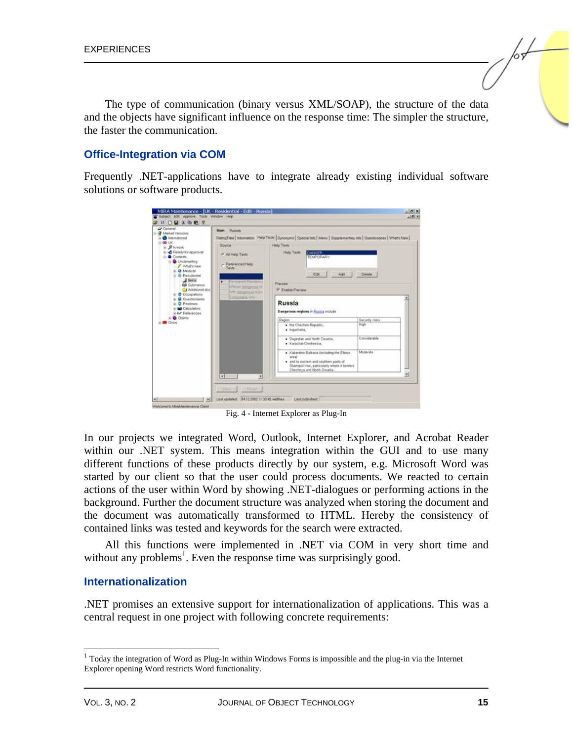The type of communication (binary versus XML/SOAP), the structure of the data and the objects have significant influence on the response time: The simpler the structure, the faster the communication.

## **Office-Integration via COM**

Frequently .NET-applications have to integrate already existing individual software solutions or software products.



Fig. 4 - Internet Explorer as Plug-In

In our projects we integrated Word, Outlook, Internet Explorer, and Acrobat Reader within our .NET system. This means integration within the GUI and to use many different functions of these products directly by our system, e.g. Microsoft Word was started by our client so that the user could process documents. We reacted to certain actions of the user within Word by showing .NET-dialogues or performing actions in the background. Further the document structure was analyzed when storing the document and the document was automatically transformed to HTML. Hereby the consistency of contained links was tested and keywords for the search were extracted.

All this functions were implemented in .NET via COM in very short time and without any problems<sup>1</sup>. Even the response time was surprisingly good.

#### **Internationalization**

.NET promises an extensive support for internationalization of applications. This was a central request in one project with following concrete requirements:

l

<sup>&</sup>lt;sup>1</sup> Today the integration of Word as Plug-In within Windows Forms is impossible and the plug-in via the Internet Explorer opening Word restricts Word functionality.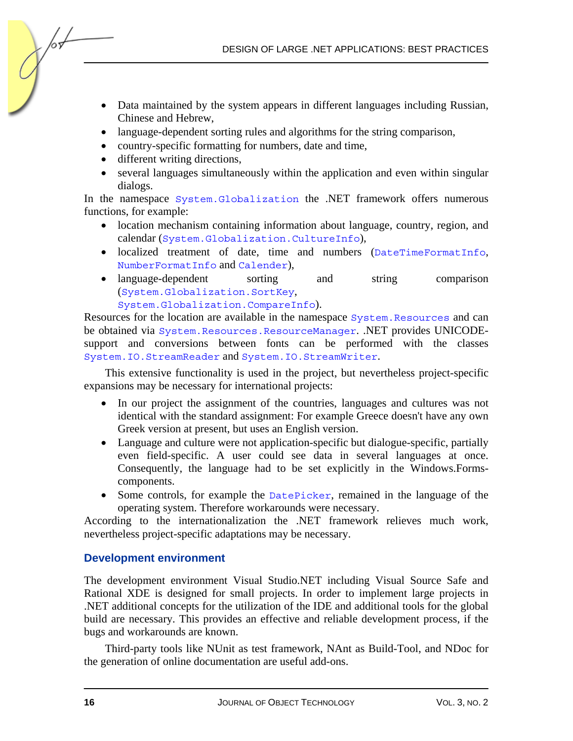DESIGN OF LARGE .NET APPLICATIONS: BEST PRACTICES

- Data maintained by the system appears in different languages including Russian, Chinese and Hebrew,
- language-dependent sorting rules and algorithms for the string comparison,
- country-specific formatting for numbers, date and time,
- different writing directions,

/оъ

• several languages simultaneously within the application and even within singular dialogs.

In the namespace System.Globalization the .NET framework offers numerous functions, for example:

- location mechanism containing information about language, country, region, and calendar (System.Globalization.CultureInfo),
- localized treatment of date, time and numbers (DateTimeFormatInfo, NumberFormatInfo and Calender),
- language-dependent sorting and string comparison (System.Globalization.SortKey, System.Globalization.CompareInfo).

Resources for the location are available in the namespace System. Resources and can be obtained via System.Resources.ResourceManager. .NET provides UNICODEsupport and conversions between fonts can be performed with the classes System.IO.StreamReader and System.IO.StreamWriter.

This extensive functionality is used in the project, but nevertheless project-specific expansions may be necessary for international projects:

- In our project the assignment of the countries, languages and cultures was not identical with the standard assignment: For example Greece doesn't have any own Greek version at present, but uses an English version.
- Language and culture were not application-specific but dialogue-specific, partially even field-specific. A user could see data in several languages at once. Consequently, the language had to be set explicitly in the Windows.Formscomponents.
- Some controls, for example the DatePicker, remained in the language of the operating system. Therefore workarounds were necessary.

According to the internationalization the .NET framework relieves much work, nevertheless project-specific adaptations may be necessary.

## **Development environment**

The development environment Visual Studio.NET including Visual Source Safe and Rational XDE is designed for small projects. In order to implement large projects in .NET additional concepts for the utilization of the IDE and additional tools for the global build are necessary. This provides an effective and reliable development process, if the bugs and workarounds are known.

Third-party tools like NUnit as test framework, NAnt as Build-Tool, and NDoc for the generation of online documentation are useful add-ons.